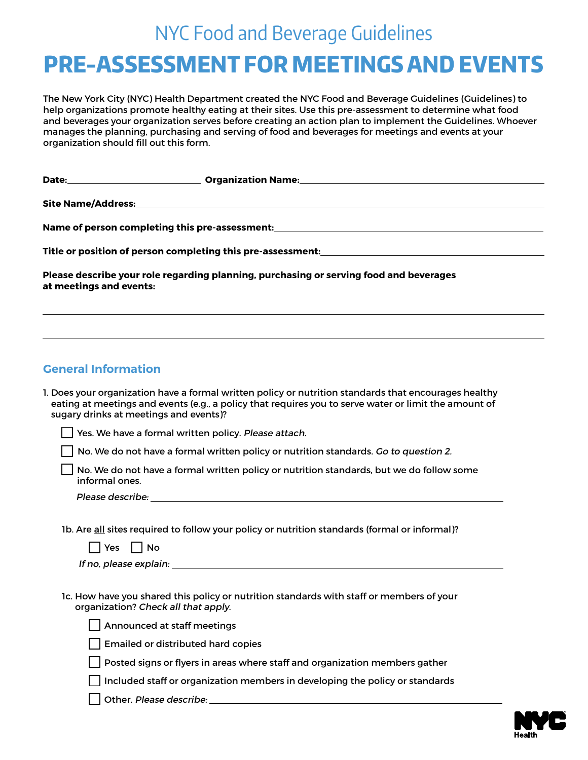## NYC Food and Beverage Guidelines

# **PRE-ASSESSMENT FOR MEETINGS AND EVENTS**

The New York City (NYC) Health Department created the NYC Food and Beverage Guidelines (Guidelines) to help organizations promote healthy eating at their sites. Use this pre-assessment to determine what food and beverages your organization serves before creating an action plan to implement the Guidelines. Whoever manages the planning, purchasing and serving of food and beverages for meetings and events at your organization should fill out this form.

| Date:                   | <b>Organization Name:</b>                                                                                       |
|-------------------------|-----------------------------------------------------------------------------------------------------------------|
|                         |                                                                                                                 |
|                         |                                                                                                                 |
|                         |                                                                                                                 |
|                         | Name of person completing this pre-assessment: Name of persons and the set of persons of persons and $\alpha$   |
|                         |                                                                                                                 |
|                         | Title or position of person completing this pre-assessment: with a state of the control of the control of the c |
|                         |                                                                                                                 |
|                         | Please describe your role regarding planning, purchasing or serving food and beverages                          |
| at meetings and events: |                                                                                                                 |
|                         |                                                                                                                 |

### **General Information**

| 1. Does your organization have a formal written policy or nutrition standards that encourages healthy |
|-------------------------------------------------------------------------------------------------------|
| eating at meetings and events (e.g., a policy that requires you to serve water or limit the amount of |
| sugary drinks at meetings and events)?                                                                |

Yes. We have a formal written policy. Please attach.

 $\Box$  No. We do not have a formal written policy or nutrition standards. Go to question 2.

 No. We do not have a formal written policy or nutrition standards, but we do follow some informal ones.

Please describe:

1b. Are all sites required to follow your policy or nutrition standards (formal or informal)?

| If no, please explain: |  |
|------------------------|--|
|------------------------|--|

 1c. How have you shared this policy or nutrition standards with staff or members of your organization? Check all that apply.



Emailed or distributed hard copies

Posted signs or flyers in areas where staff and organization members gather

 $\Box$  Included staff or organization members in developing the policy or standards

Other. Please describe:

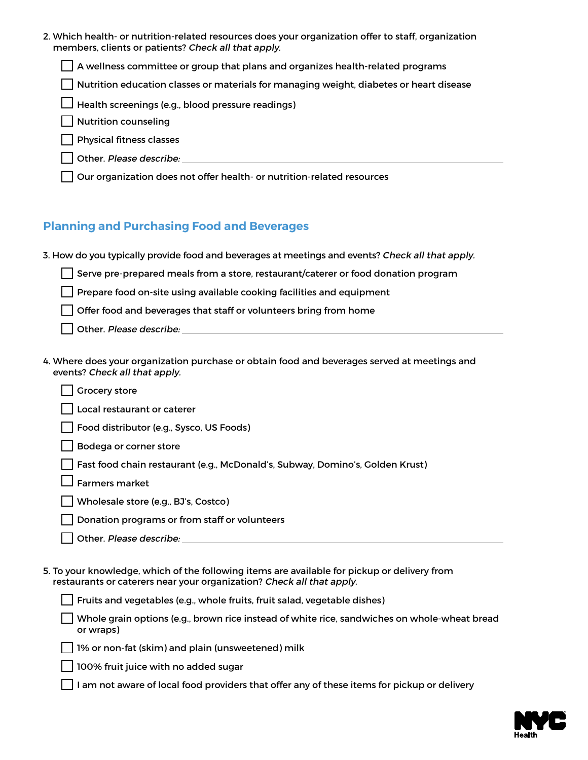| 2. Which health- or nutrition-related resources does your organization offer to staff, organization<br>members, clients or patients? Check all that apply.            |
|-----------------------------------------------------------------------------------------------------------------------------------------------------------------------|
| $\Box$ A wellness committee or group that plans and organizes health-related programs                                                                                 |
| Nutrition education classes or materials for managing weight, diabetes or heart disease                                                                               |
| Health screenings (e.g., blood pressure readings)                                                                                                                     |
| <b>Nutrition counseling</b>                                                                                                                                           |
| <b>Physical fitness classes</b>                                                                                                                                       |
|                                                                                                                                                                       |
| Our organization does not offer health- or nutrition-related resources                                                                                                |
| <b>Planning and Purchasing Food and Beverages</b>                                                                                                                     |
| 3. How do you typically provide food and beverages at meetings and events? Check all that apply.                                                                      |
| Serve pre-prepared meals from a store, restaurant/caterer or food donation program                                                                                    |
| Prepare food on-site using available cooking facilities and equipment                                                                                                 |
| Offer food and beverages that staff or volunteers bring from home                                                                                                     |
|                                                                                                                                                                       |
| 4. Where does your organization purchase or obtain food and beverages served at meetings and<br>events? Check all that apply.<br><b>Grocery store</b>                 |
| Local restaurant or caterer                                                                                                                                           |
| Food distributor (e.g., Sysco, US Foods)                                                                                                                              |
| Bodega or corner store                                                                                                                                                |
| Fast food chain restaurant (e.g., McDonald's, Subway, Domino's, Golden Krust)                                                                                         |
| <b>Farmers market</b>                                                                                                                                                 |
| Wholesale store (e.g., BJ's, Costco)                                                                                                                                  |
| Donation programs or from staff or volunteers                                                                                                                         |
| Other. Please describe: ______________                                                                                                                                |
| 5. To your knowledge, which of the following items are available for pickup or delivery from<br>restaurants or caterers near your organization? Check all that apply. |
| Fruits and vegetables (e.g., whole fruits, fruit salad, vegetable dishes)                                                                                             |
| Whole grain options (e.g., brown rice instead of white rice, sandwiches on whole-wheat bread<br>or wraps)                                                             |
| 1% or non-fat (skim) and plain (unsweetened) milk                                                                                                                     |
| 100% fruit juice with no added sugar                                                                                                                                  |
| I am not aware of local food providers that offer any of these items for pickup or delivery                                                                           |

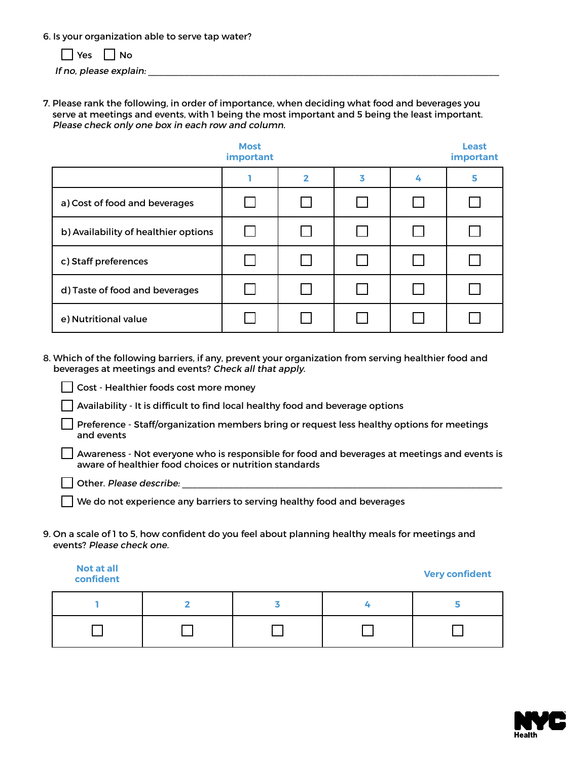6. Is your organization able to serve tap water?

|  | т | n |
|--|---|---|
|--|---|---|

If no, please explain:

7. Please rank the following, in order of importance, when deciding what food and beverages you serve at meetings and events, with 1 being the most important and 5 being the least important. Please check only one box in each row and column.

|                                      | <b>Most</b><br>important |              |   |   | <b>Least</b><br>important |
|--------------------------------------|--------------------------|--------------|---|---|---------------------------|
|                                      |                          | 2            | 3 | 4 | 5                         |
| a) Cost of food and beverages        |                          | $\mathbf{I}$ |   |   |                           |
| b) Availability of healthier options |                          |              |   |   |                           |
| c) Staff preferences                 |                          | $\mathbf{L}$ |   |   |                           |
| d) Taste of food and beverages       |                          |              |   |   |                           |
| e) Nutritional value                 |                          |              |   |   |                           |

8. Which of the following barriers, if any, prevent your organization from serving healthier food and beverages at meetings and events? Check all that apply.

Cost - Healthier foods cost more money

Availability - It is difficult to find local healthy food and beverage options

Preference - Staff/organization members bring or request less healthy options for meetings and events

Awareness - Not everyone who is responsible for food and beverages at meetings and events is aware of healthier food choices or nutrition standards

 $\Box$  Other. Please describe:

We do not experience any barriers to serving healthy food and beverages

9. On a scale of 1 to 5, how confident do you feel about planning healthy meals for meetings and events? Please check one.

**Not at all confident Very confident**

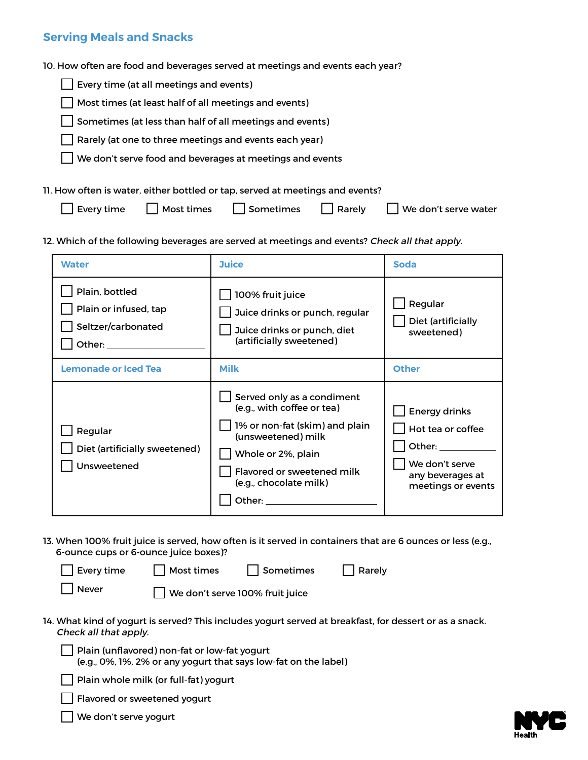#### **Serving Meals and Snacks**

10. How often are food and beverages served at meetings and events each year?

|  | $\Box$ Every time (at all meetings and events) |  |  |  |
|--|------------------------------------------------|--|--|--|
|--|------------------------------------------------|--|--|--|

 $\Box$  Most times (at least half of all meetings and events)

 $\Box$  Sometimes (at less than half of all meetings and events)

Rarely (at one to three meetings and events each year)

We don't serve food and beverages at meetings and events

11. How often is water, either bottled or tap, served at meetings and events?

| $\Box$ Every time | $\Box$ Most times | Sometimes Rarely |  | $\Box$ We don't serve water |
|-------------------|-------------------|------------------|--|-----------------------------|
|-------------------|-------------------|------------------|--|-----------------------------|

12. Which of the following beverages are served at meetings and events? Check all that apply.

| <b>Water</b>                                                                                                                                                                                                                                                                                    | <b>Juice</b>                                                                                                                                                                                                                                                                                                     | <b>Soda</b>                                                                                                                                                                                                              |
|-------------------------------------------------------------------------------------------------------------------------------------------------------------------------------------------------------------------------------------------------------------------------------------------------|------------------------------------------------------------------------------------------------------------------------------------------------------------------------------------------------------------------------------------------------------------------------------------------------------------------|--------------------------------------------------------------------------------------------------------------------------------------------------------------------------------------------------------------------------|
| Plain, bottled<br>Plain or infused, tap<br>Seltzer/carbonated<br>Other: and the state of the state of the state of the state of the state of the state of the state of the state of the state of the state of the state of the state of the state of the state of the state of the state of the | 100% fruit juice<br>Juice drinks or punch, regular<br>Juice drinks or punch, diet<br>(artificially sweetened)                                                                                                                                                                                                    | Regular<br>Diet (artificially<br>sweetened)                                                                                                                                                                              |
| <b>Lemonade or Iced Tea</b>                                                                                                                                                                                                                                                                     | <b>Milk</b>                                                                                                                                                                                                                                                                                                      | <b>Other</b>                                                                                                                                                                                                             |
| Regular<br>Diet (artificially sweetened)<br>Unsweetened                                                                                                                                                                                                                                         | Served only as a condiment<br>(e.g., with coffee or tea)<br>1% or non-fat (skim) and plain<br>(unsweetened) milk<br>Whole or 2%, plain<br>Flavored or sweetened milk<br>(e.g., chocolate milk)<br>Other: and the contract of the contract of the contract of the contract of the contract of the contract of the | <b>Energy drinks</b><br>Hot tea or coffee<br>Other: and the state of the state of the state of the state of the state of the state of the state of the state<br>We don't serve<br>any beverages at<br>meetings or events |

13. When 100% fruit juice is served, how often is it served in containers that are 6 ounces or less (e.g., 6-ounce cups or 6-ounce juice boxes)?

| $\Box$ Every time |                                 | Most times     Sometimes | Rarely                                                                                              |  |
|-------------------|---------------------------------|--------------------------|-----------------------------------------------------------------------------------------------------|--|
| Never             | We don't serve 100% fruit juice |                          |                                                                                                     |  |
|                   |                                 |                          | 14. What kind of yogurt is served? This includes yogurt served at breakfast, for dessert or as a sr |  |

- 14. What kind of yogurt is served? This includes yogurt served at breakfast, for dessert or as a snack. Check all that apply.
	- $\vert \ \vert$  Plain (unflavored) non-fat or low-fat yogurt (e.g., 0%, 1%, 2% or any yogurt that says low-fat on the label)

| Plain whole milk (or full-fat) yogurt

Flavored or sweetened yogurt

We don't serve yogurt